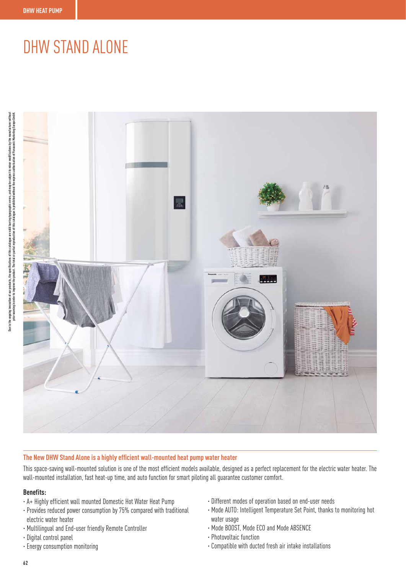## DHW STAND ALONE



## **The New DHW Stand Alone is a highly efficient wall-mounted heat pump water heater**

This space-saving wall-mounted solution is one of the most efficient models available, designed as a perfect replacement for the electric water heater. The wall-mounted installation, fast heat-up time, and auto function for smart piloting all guarantee customer comfort.

## **Benefits:**

- · A+ Highly efficient wall mounted Domestic Hot Water Heat Pump
- · Provides reduced power consumption by 75% compared with traditional electric water heater
- · Multilingual and End-user friendly Remote Controller
- · Digital control panel
- · Energy consumption monitoring
- · Different modes of operation based on end-user needs
- · Mode AUTO: Intelligent Temperature Set Point, thanks to monitoring hot water usage
- · Mode BOOST, Mode ECO and Mode ABSENCE
- · Photovoltaic function
- · Compatible with ducted fresh air intake installations